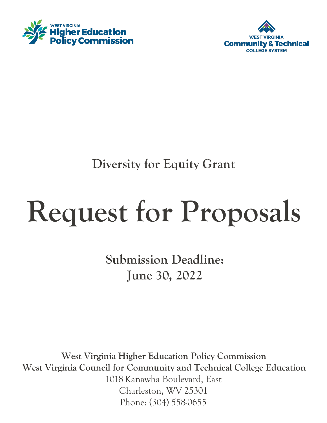



**Diversity for Equity Grant**

# **Request for Proposals**

**Submission Deadline: June 30, 2022**

**West Virginia Higher Education Policy Commission West Virginia Council for Community and Technical College Education** 1018 Kanawha Boulevard, East Charleston, WV 25301 Phone: (304) 558-0655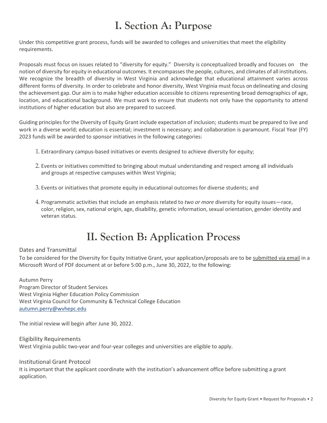# **I. Section A: Purpose**

Under this competitive grant process, funds will be awarded to colleges and universities that meet the eligibility requirements.

Proposals must focus on issues related to "diversity for equity." Diversity is conceptualized broadly and focuses on the notion of diversity for equity in educational outcomes. It encompasses the people, cultures, and climates of all institutions. We recognize the breadth of diversity in West Virginia and acknowledge that educational attainment varies across different forms of diversity. In order to celebrate and honor diversity, West Virginia must focus on delineating and closing the achievement gap. Our aim is to make higher education accessible to citizens representing broad demographics of age, location, and educational background. We must work to ensure that students not only have the opportunity to attend institutions of higher education but also are prepared to succeed.

Guiding principles for the Diversity of Equity Grant include expectation of inclusion; students must be prepared to live and work in a diverse world; education is essential; investment is necessary; and collaboration is paramount. Fiscal Year (FY) 2023 funds will be awarded to sponsor initiatives in the following categories:

- 1. Extraordinary campus-based initiatives or events designed to achieve diversity for equity;
- 2. Events or initiatives committed to bringing about mutual understanding and respect among all individuals and groups at respective campuses within West Virginia;
- 3. Events or initiatives that promote equity in educational outcomes for diverse students; and
- 4. Programmatic activities that include an emphasis related to *two or more* diversity for equity issues—race, color, religion, sex, national origin, age, disability, genetic information, sexual orientation, gender identity and veteran status.

## **II. Section B: Application Process**

#### Dates and Transmittal

To be considered for the Diversity for Equity Initiative Grant, your application/proposals are to be submitted via email in a Microsoft Word of PDF document at or before 5:00 p.m., June 30, 2022, to the following:

Autumn Perry Program Director of Student Services West Virginia Higher Education Policy Commission West Virginia Council for Community & Technical College Education [autumn.perry@wvhepc.edu](mailto:autumn.perry@wvhepc.edu)

The initial review will begin after June 30, 2022.

Eligibility Requirements West Virginia public two-year and four-year colleges and universities are eligible to apply.

Institutional Grant Protocol

It is important that the applicant coordinate with the institution's advancement office before submitting a grant application.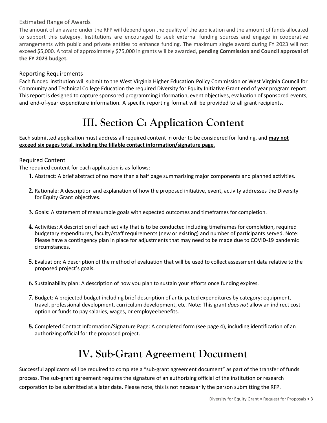## Estimated Range of Awards

The amount of an award under the RFP will depend upon the quality of the application and the amount of funds allocated to support this category. Institutions are encouraged to seek external funding sources and engage in cooperative arrangements with public and private entities to enhance funding. The maximum single award during FY 2023 will not exceed \$5,000. A total of approximately \$75,000 in grants will be awarded, **pending Commission and Council approval of the FY 2023 budget.**

## Reporting Requirements

Each funded institution will submit to the West Virginia Higher Education Policy Commission or West Virginia Council for Community and Technical College Education the required Diversity for Equity Initiative Grant end of year program report. This report is designed to capture sponsored programming information, event objectives, evaluation of sponsored events, and end-of-year expenditure information. A specific reporting format will be provided to all grant recipients.

# **III. Section C: Application Content**

Each submitted application must address all required content in order to be considered for funding, and **may not exceed six pages total, including the fillable contact information/signature page**.

## Required Content

The required content for each application is as follows:

- **1.** Abstract: A brief abstract of no more than a half page summarizing major components and planned activities.
- **2.** Rationale: A description and explanation of how the proposed initiative, event, activity addresses the Diversity for Equity Grant objectives.
- **3.** Goals: A statement of measurable goals with expected outcomes and timeframes for completion.
- **4.** Activities: A description of each activity that is to be conducted including timeframes for completion, required budgetary expenditures, faculty/staff requirements (new or existing) and number of participants served. Note: Please have a contingency plan in place for adjustments that may need to be made due to COVID-19 pandemic circumstances.
- **5.** Evaluation: A description of the method of evaluation that will be used to collect assessment data relative to the proposed project's goals.
- **6.** Sustainability plan: A description of how you plan to sustain your efforts once funding expires.
- **7.** Budget: A projected budget including brief description of anticipated expenditures by category: equipment, travel, professional development, curriculum development, etc. Note: This grant *does not* allow an indirect cost option or funds to pay salaries, wages, or employeebenefits.
- **8.** Completed Contact Information/Signature Page: A completed form (see page 4), including identification of an authorizing official for the proposed project.

## **IV. Sub-Grant Agreement Document**

Successful applicants will be required to complete a "sub-grant agreement document" as part of the transfer of funds process. The sub-grant agreement requires the signature of an authorizing official of the institution or research corporation to be submitted at a later date. Please note, this is not necessarily the person submitting the RFP.